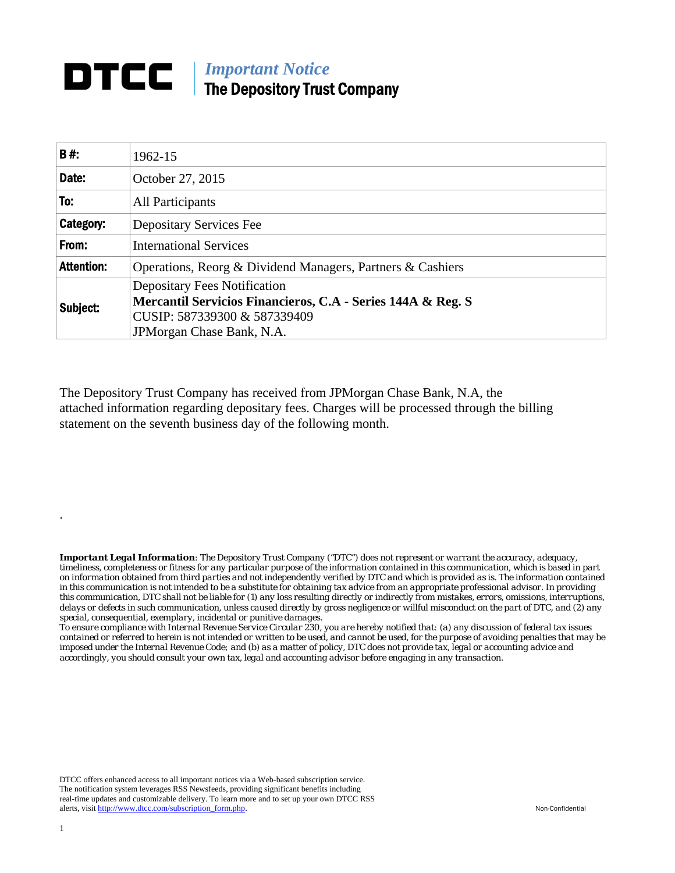## **DTCC** | *Important Notice* The Depository Trust Company

| B#:               | 1962-15                                                                |  |  |  |  |  |
|-------------------|------------------------------------------------------------------------|--|--|--|--|--|
| Date:             | October 27, 2015                                                       |  |  |  |  |  |
| To:               | All Participants                                                       |  |  |  |  |  |
| Category:         | <b>Depositary Services Fee</b>                                         |  |  |  |  |  |
| From:             | <b>International Services</b>                                          |  |  |  |  |  |
| <b>Attention:</b> | Operations, Reorg & Dividend Managers, Partners & Cashiers             |  |  |  |  |  |
| Subject:          | <b>Depositary Fees Notification</b>                                    |  |  |  |  |  |
|                   | <b>Mercantil Servicios Financieros, C.A - Series 144A &amp; Reg. S</b> |  |  |  |  |  |
|                   | CUSIP: 587339300 & 587339409                                           |  |  |  |  |  |
|                   | JPMorgan Chase Bank, N.A.                                              |  |  |  |  |  |

The Depository Trust Company has received from JPMorgan Chase Bank, N.A, the attached information regarding depositary fees. Charges will be processed through the billing statement on the seventh business day of the following month.

*Important Legal Information: The Depository Trust Company ("DTC") does not represent or warrant the accuracy, adequacy, timeliness, completeness or fitness for any particular purpose of the information contained in this communication, which is based in part on information obtained from third parties and not independently verified by DTC and which is provided as is. The information contained in this communication is not intended to be a substitute for obtaining tax advice from an appropriate professional advisor. In providing this communication, DTC shall not be liable for (1) any loss resulting directly or indirectly from mistakes, errors, omissions, interruptions, delays or defects in such communication, unless caused directly by gross negligence or willful misconduct on the part of DTC, and (2) any special, consequential, exemplary, incidental or punitive damages.* 

*To ensure compliance with Internal Revenue Service Circular 230, you are hereby notified that: (a) any discussion of federal tax issues contained or referred to herein is not intended or written to be used, and cannot be used, for the purpose of avoiding penalties that may be imposed under the Internal Revenue Code; and (b) as a matter of policy, DTC does not provide tax, legal or accounting advice and accordingly, you should consult your own tax, legal and accounting advisor before engaging in any transaction.*

DTCC offers enhanced access to all important notices via a Web-based subscription service. The notification system leverages RSS Newsfeeds, providing significant benefits including real-time updates and customizable delivery. To learn more and to set up your own DTCC RSS alerts, visit http://www.dtcc.com/subscription\_form.php. Non-Confidential

.